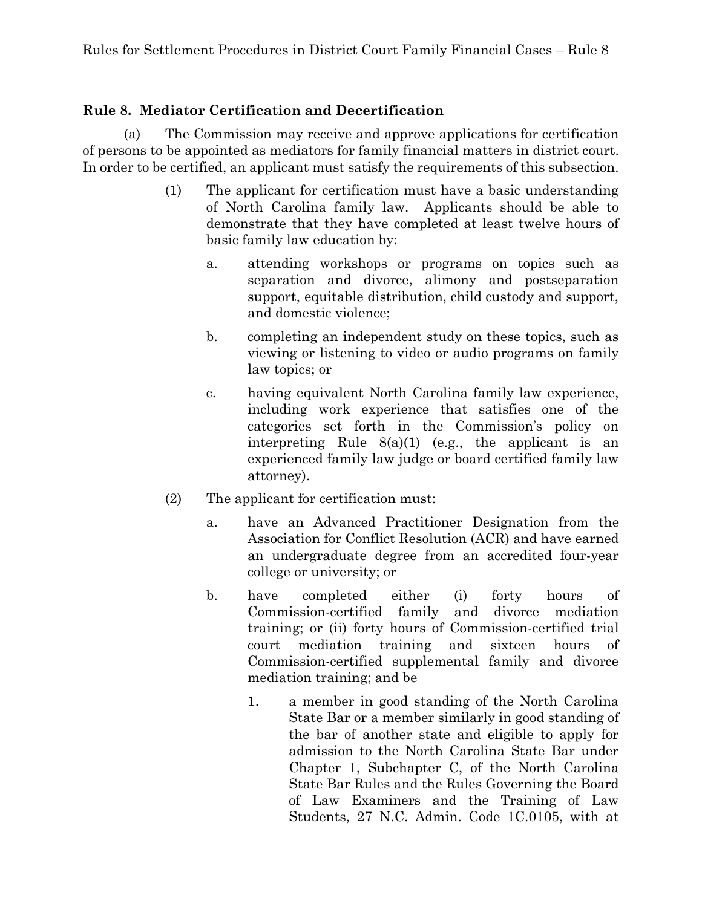## **Rule 8. Mediator Certification and Decertification**

(a) The Commission may receive and approve applications for certification of persons to be appointed as mediators for family financial matters in district court. In order to be certified, an applicant must satisfy the requirements of this subsection.

- (1) The applicant for certification must have a basic understanding of North Carolina family law. Applicants should be able to demonstrate that they have completed at least twelve hours of basic family law education by:
	- a. attending workshops or programs on topics such as separation and divorce, alimony and postseparation support, equitable distribution, child custody and support, and domestic violence;
	- b. completing an independent study on these topics, such as viewing or listening to video or audio programs on family law topics; or
	- c. having equivalent North Carolina family law experience, including work experience that satisfies one of the categories set forth in the Commission's policy on interpreting Rule 8(a)(1) (e.g., the applicant is an experienced family law judge or board certified family law attorney).
- (2) The applicant for certification must:
	- a. have an Advanced Practitioner Designation from the Association for Conflict Resolution (ACR) and have earned an undergraduate degree from an accredited four-year college or university; or
	- b. have completed either (i) forty hours of Commission-certified family and divorce mediation training; or (ii) forty hours of Commission-certified trial court mediation training and sixteen hours of Commission-certified supplemental family and divorce mediation training; and be
		- 1. a member in good standing of the North Carolina State Bar or a member similarly in good standing of the bar of another state and eligible to apply for admission to the North Carolina State Bar under Chapter 1, Subchapter C, of the North Carolina State Bar Rules and the Rules Governing the Board of Law Examiners and the Training of Law Students, 27 N.C. Admin. Code 1C.0105, with at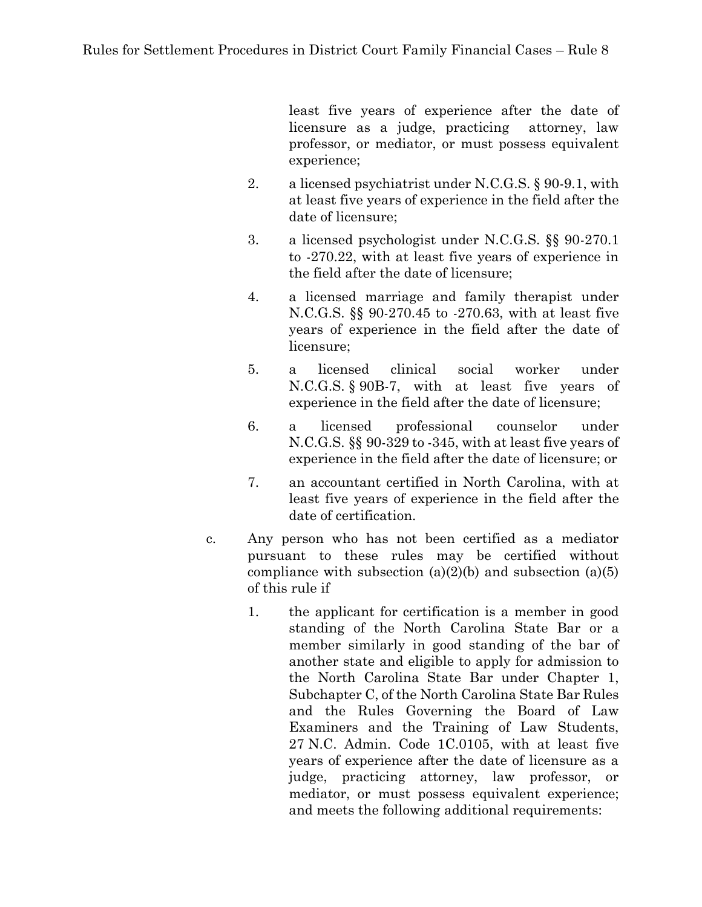least five years of experience after the date of licensure as a judge, practicing attorney, law professor, or mediator, or must possess equivalent experience;

- 2. a licensed psychiatrist under N.C.G.S. § 90-9.1, with at least five years of experience in the field after the date of licensure;
- 3. a licensed psychologist under N.C.G.S. §§ 90-270.1 to -270.22, with at least five years of experience in the field after the date of licensure;
- 4. a licensed marriage and family therapist under N.C.G.S. §§ 90-270.45 to -270.63, with at least five years of experience in the field after the date of licensure;
- 5. a licensed clinical social worker under N.C.G.S. § 90B-7, with at least five years of experience in the field after the date of licensure;
- 6. a licensed professional counselor under N.C.G.S. §§ 90-329 to -345, with at least five years of experience in the field after the date of licensure; or
- 7. an accountant certified in North Carolina, with at least five years of experience in the field after the date of certification.
- c. Any person who has not been certified as a mediator pursuant to these rules may be certified without compliance with subsection  $(a)(2)(b)$  and subsection  $(a)(5)$ of this rule if
	- 1. the applicant for certification is a member in good standing of the North Carolina State Bar or a member similarly in good standing of the bar of another state and eligible to apply for admission to the North Carolina State Bar under Chapter 1, Subchapter C, of the North Carolina State Bar Rules and the Rules Governing the Board of Law Examiners and the Training of Law Students, 27 N.C. Admin. Code 1C.0105, with at least five years of experience after the date of licensure as a judge, practicing attorney, law professor, or mediator, or must possess equivalent experience; and meets the following additional requirements: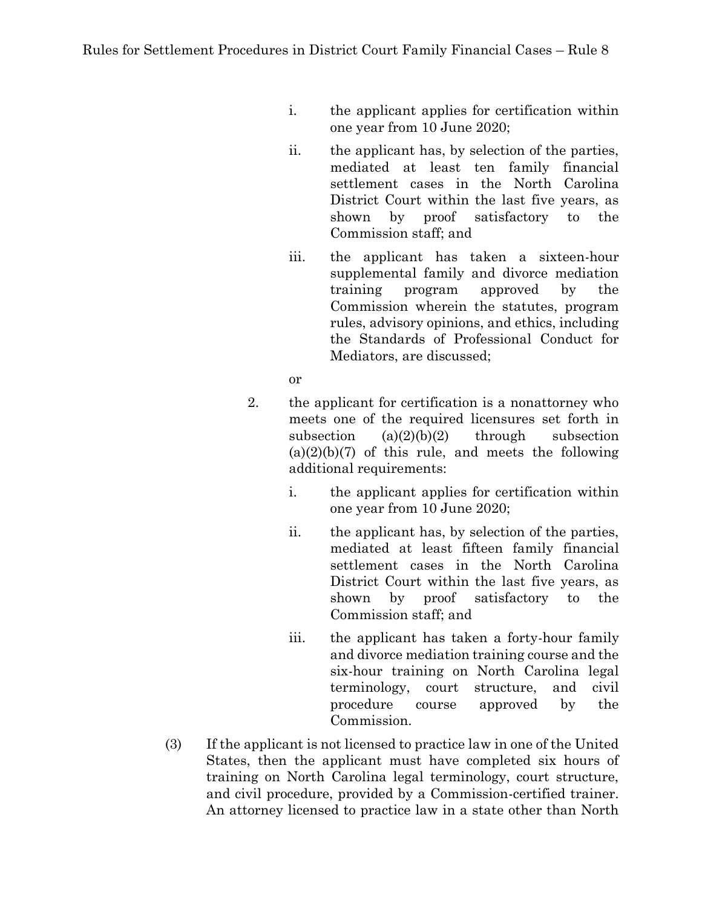- i. the applicant applies for certification within one year from 10 June 2020;
- ii. the applicant has, by selection of the parties, mediated at least ten family financial settlement cases in the North Carolina District Court within the last five years, as shown by proof satisfactory to the Commission staff; and
- iii. the applicant has taken a sixteen-hour supplemental family and divorce mediation training program approved by the Commission wherein the statutes, program rules, advisory opinions, and ethics, including the Standards of Professional Conduct for Mediators, are discussed;
- or
- 2. the applicant for certification is a nonattorney who meets one of the required licensures set forth in subsection  $(a)(2)(b)(2)$  through subsection  $(a)(2)(b)(7)$  of this rule, and meets the following additional requirements:
	- i. the applicant applies for certification within one year from 10 June 2020;
	- ii. the applicant has, by selection of the parties, mediated at least fifteen family financial settlement cases in the North Carolina District Court within the last five years, as shown by proof satisfactory to the Commission staff; and
	- iii. the applicant has taken a forty-hour family and divorce mediation training course and the six-hour training on North Carolina legal terminology, court structure, and civil procedure course approved by the Commission.
- (3) If the applicant is not licensed to practice law in one of the United States, then the applicant must have completed six hours of training on North Carolina legal terminology, court structure, and civil procedure, provided by a Commission-certified trainer. An attorney licensed to practice law in a state other than North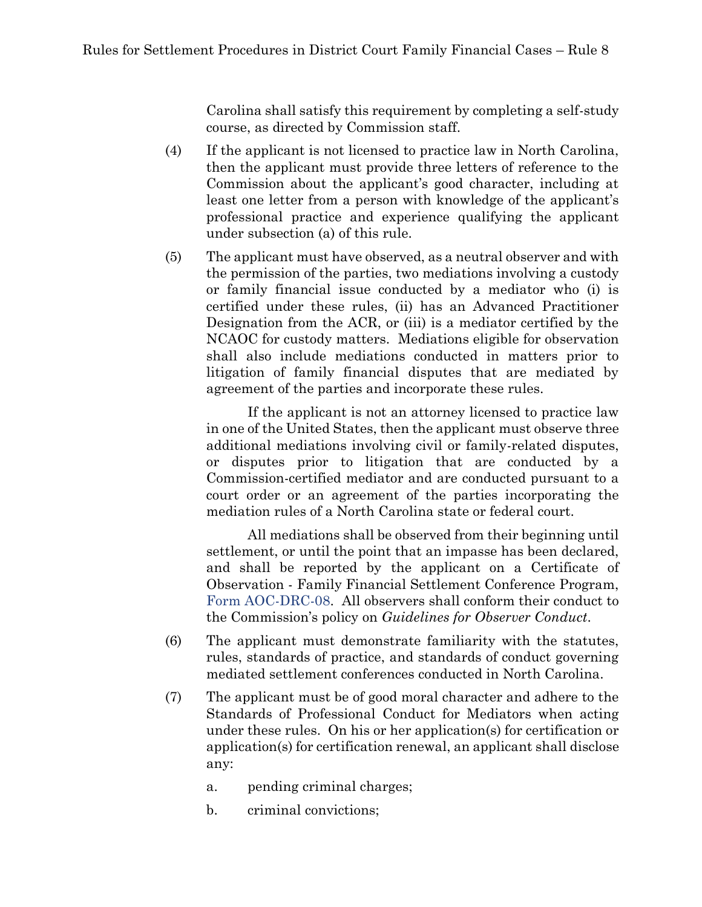Carolina shall satisfy this requirement by completing a self-study course, as directed by Commission staff.

- (4) If the applicant is not licensed to practice law in North Carolina, then the applicant must provide three letters of reference to the Commission about the applicant's good character, including at least one letter from a person with knowledge of the applicant's professional practice and experience qualifying the applicant under subsection (a) of this rule.
- (5) The applicant must have observed, as a neutral observer and with the permission of the parties, two mediations involving a custody or family financial issue conducted by a mediator who (i) is certified under these rules, (ii) has an Advanced Practitioner Designation from the ACR, or (iii) is a mediator certified by the NCAOC for custody matters. Mediations eligible for observation shall also include mediations conducted in matters prior to litigation of family financial disputes that are mediated by agreement of the parties and incorporate these rules.

If the applicant is not an attorney licensed to practice law in one of the United States, then the applicant must observe three additional mediations involving civil or family-related disputes, or disputes prior to litigation that are conducted by a Commission-certified mediator and are conducted pursuant to a court order or an agreement of the parties incorporating the mediation rules of a North Carolina state or federal court.

All mediations shall be observed from their beginning until settlement, or until the point that an impasse has been declared, and shall be reported by the applicant on a Certificate of Observation - Family Financial Settlement Conference Program, [Form AOC-DRC-08.](https://www.nccourts.gov/documents/forms/certificate-of-observation-family-financial-settlement-conference-program) All observers shall conform their conduct to the Commission's policy on *Guidelines for Observer Conduct*.

- (6) The applicant must demonstrate familiarity with the statutes, rules, standards of practice, and standards of conduct governing mediated settlement conferences conducted in North Carolina.
- (7) The applicant must be of good moral character and adhere to the Standards of Professional Conduct for Mediators when acting under these rules. On his or her application(s) for certification or application(s) for certification renewal, an applicant shall disclose any:
	- a. pending criminal charges;
	- b. criminal convictions;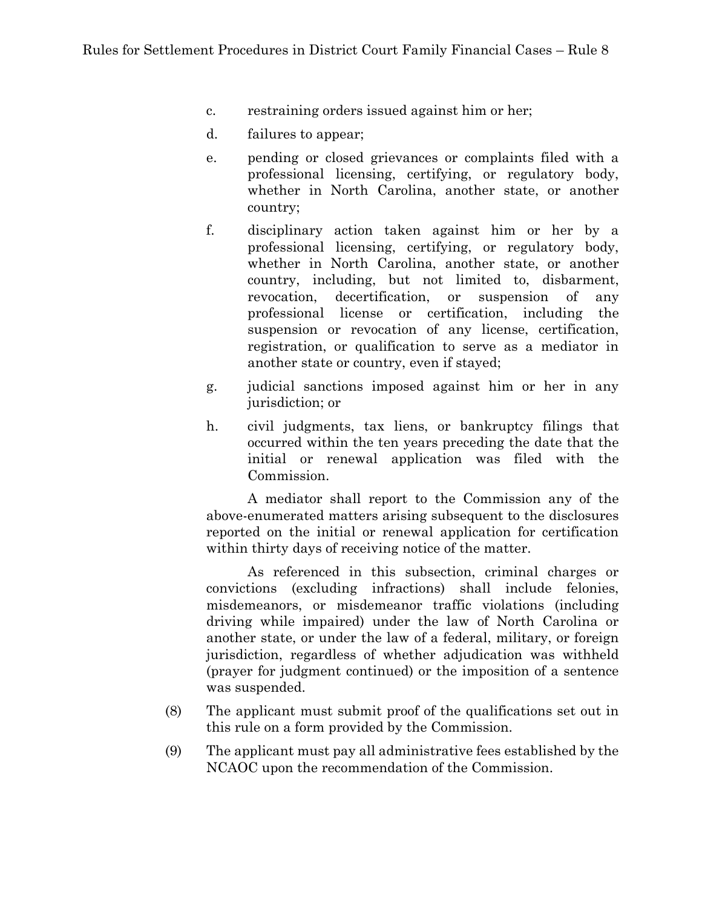- c. restraining orders issued against him or her;
- d. failures to appear;
- e. pending or closed grievances or complaints filed with a professional licensing, certifying, or regulatory body, whether in North Carolina, another state, or another country;
- f. disciplinary action taken against him or her by a professional licensing, certifying, or regulatory body, whether in North Carolina, another state, or another country, including, but not limited to, disbarment, revocation, decertification, or suspension of any professional license or certification, including the suspension or revocation of any license, certification, registration, or qualification to serve as a mediator in another state or country, even if stayed;
- g. judicial sanctions imposed against him or her in any jurisdiction; or
- h. civil judgments, tax liens, or bankruptcy filings that occurred within the ten years preceding the date that the initial or renewal application was filed with the Commission.

A mediator shall report to the Commission any of the above-enumerated matters arising subsequent to the disclosures reported on the initial or renewal application for certification within thirty days of receiving notice of the matter.

As referenced in this subsection, criminal charges or convictions (excluding infractions) shall include felonies, misdemeanors, or misdemeanor traffic violations (including driving while impaired) under the law of North Carolina or another state, or under the law of a federal, military, or foreign jurisdiction, regardless of whether adjudication was withheld (prayer for judgment continued) or the imposition of a sentence was suspended.

- (8) The applicant must submit proof of the qualifications set out in this rule on a form provided by the Commission.
- (9) The applicant must pay all administrative fees established by the NCAOC upon the recommendation of the Commission.